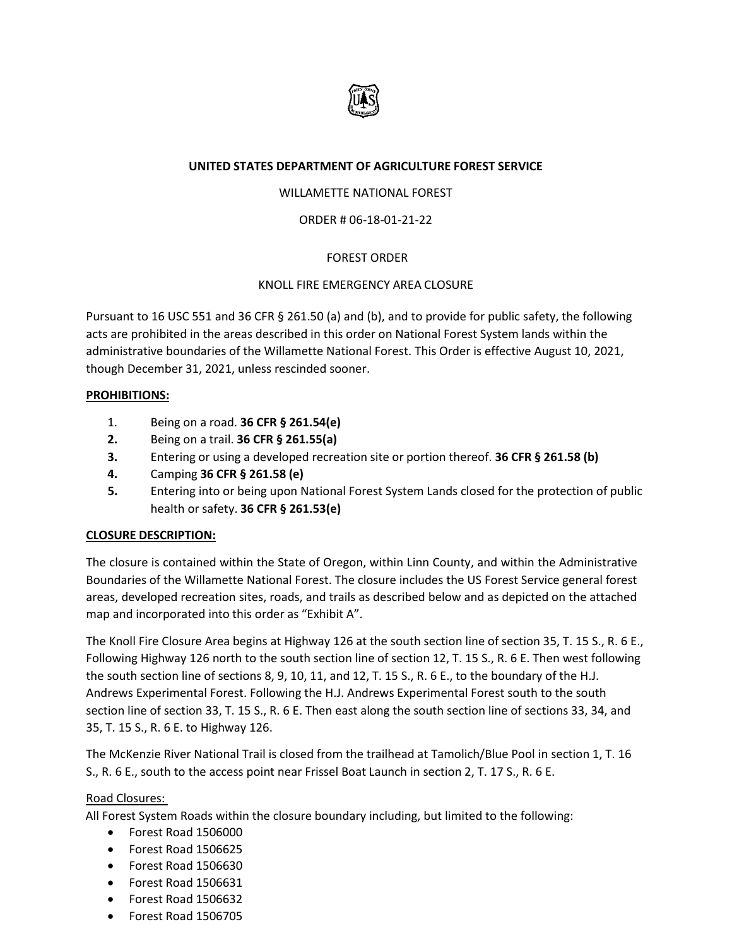

## **UNITED STATES DEPARTMENT OF AGRICULTURE FOREST SERVICE**

## WILLAMETTE NATIONAL FOREST

## ORDER # 06-18-01-21-22

## FOREST ORDER

#### KNOLL FIRE EMERGENCY AREA CLOSURE

Pursuant to 16 USC 551 and 36 CFR § 261.50 (a) and (b), and to provide for public safety, the following acts are prohibited in the areas described in this order on National Forest System lands within the administrative boundaries of the Willamette National Forest. This Order is effective August 10, 2021, though December 31, 2021, unless rescinded sooner.

#### **PROHIBITIONS:**

- 1. Being on a road. **36 CFR § 261.54(e)**
- **2.** Being on a trail. **36 CFR § 261.55(a)**
- **3.** Entering or using a developed recreation site or portion thereof. **36 CFR § 261.58 (b)**
- **4.** Camping **36 CFR § 261.58 (e)**
- **5.** Entering into or being upon National Forest System Lands closed for the protection of public health or safety. **36 CFR § 261.53(e)**

#### **CLOSURE DESCRIPTION:**

The closure is contained within the State of Oregon, within Linn County, and within the Administrative Boundaries of the Willamette National Forest. The closure includes the US Forest Service general forest areas, developed recreation sites, roads, and trails as described below and as depicted on the attached map and incorporated into this order as "Exhibit A".

The Knoll Fire Closure Area begins at Highway 126 at the south section line of section 35, T. 15 S., R. 6 E., Following Highway 126 north to the south section line of section 12, T. 15 S., R. 6 E. Then west following the south section line of sections 8, 9, 10, 11, and 12, T. 15 S., R. 6 E., to the boundary of the H.J. Andrews Experimental Forest. Following the H.J. Andrews Experimental Forest south to the south section line of section 33, T. 15 S., R. 6 E. Then east along the south section line of sections 33, 34, and 35, T. 15 S., R. 6 E. to Highway 126.

The McKenzie River National Trail is closed from the trailhead at Tamolich/Blue Pool in section 1, T. 16 S., R. 6 E., south to the access point near Frissel Boat Launch in section 2, T. 17 S., R. 6 E.

#### Road Closures:

All Forest System Roads within the closure boundary including, but limited to the following:

- Forest Road 1506000
- Forest Road 1506625
- Forest Road 1506630
- Forest Road 1506631
- Forest Road 1506632
- Forest Road 1506705